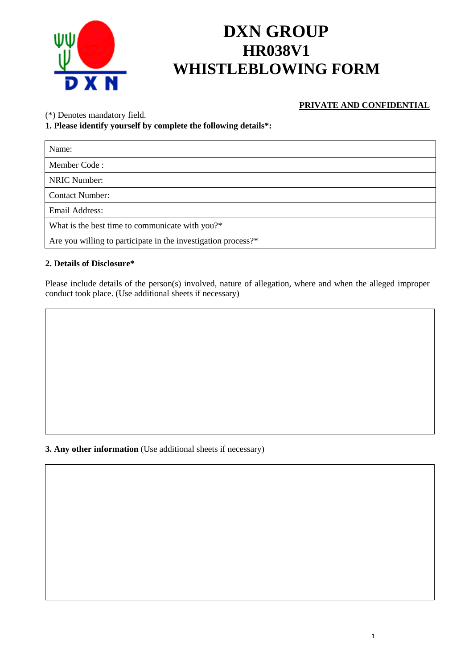

# **DXN GROUP HR038V1 WHISTLEBLOWING FORM**

## **PRIVATE AND CONFIDENTIAL**

(\*) Denotes mandatory field.

## **1. Please identify yourself by complete the following details\*:**

| Name:                                                         |
|---------------------------------------------------------------|
| Member Code:                                                  |
| <b>NRIC Number:</b>                                           |
| <b>Contact Number:</b>                                        |
| Email Address:                                                |
| What is the best time to communicate with you?*               |
| Are you willing to participate in the investigation process?* |

#### **2. Details of Disclosure\***

Please include details of the person(s) involved, nature of allegation, where and when the alleged improper conduct took place. (Use additional sheets if necessary)

# **3. Any other information** (Use additional sheets if necessary)